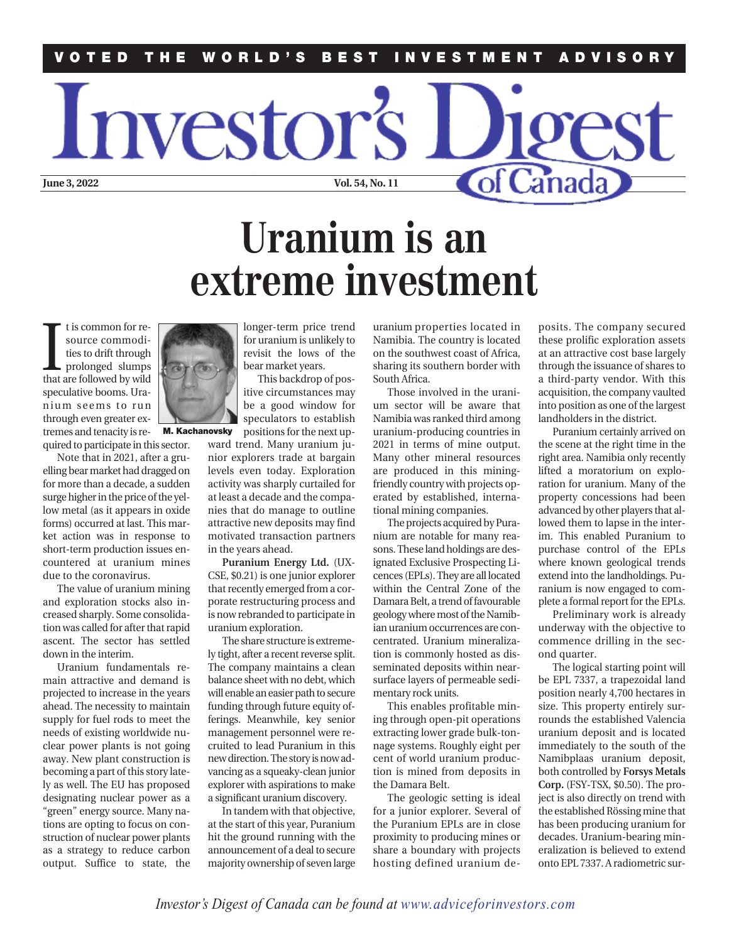## **VOTED THE WORLD'S BEST INVESTMENT ADVISORY**

## **Uranium is an extreme investment**

I is common for resource commodi-<br>ties to drift through<br>prolonged slumps<br>that are followed by wild t is common for resource commodities to drift through prolonged slumps speculative booms. Uranium seems to run through even greater extremes and tenacity is required to participate in this sector.

Note that in 2021, after a gruelling bear market had dragged on for more than a decade, a sudden surge higher in the price of the yellow metal (as it appears in oxide forms) occurred at last. This market action was in response to short-term production issues encountered at uranium mines due to the coronavirus.

The value of uranium mining and exploration stocks also increased sharply. Some consolidation was called for after that rapid ascent. The sector has settled down in the interim.

Uranium fundamentals remain attractive and demand is projected to increase in the years ahead. The necessity to maintain supply for fuel rods to meet the needs of existing worldwide nuclear power plants is not going away. New plant construction is becoming a part of this story lately as well. The EU has proposed designating nuclear power as a "green" energy source. Many nations are opting to focus on construction of nuclear power plants as a strategy to reduce carbon output. Suffice to state, the

longer-term price trend for uranium is unlikely to revisit the lows of the bear market years.

This backdrop of positive circumstances may be a good window for speculators to establish

ward trend. Many uranium junior explorers trade at bargain

**Puranium Energy Ltd.** (UX-CSE, \$0.21) is one junior explorer that recently emerged from a corporate restructuring process and is now rebranded to participate in uranium exploration.

The share structure is extremely tight, after a recent reverse split. The company maintains a clean balance sheet with no debt, which will enable an easier path to secure funding through future equity offerings. Meanwhile, key senior management personnel were recruited to lead Puranium in this new direction. The story is now advancing as a squeaky-clean junior explorer with aspirations to make a significant uranium discovery.

In tandem with that objective, at the start of this year, Puranium hit the ground running with the

uranium properties located in Namibia. The country is located on the southwest coast of Africa, sharing its southern border with South Africa.

of Canad

Those involved in the uranium sector will be aware that Namibia was ranked third among uranium-producing countries in 2021 in terms of mine output. Many other mineral resources are produced in this miningfriendly country with projects operated by established, international mining companies.

The projects acquired by Puranium are notable for many reasons. These land holdings are designated Exclusive Prospecting Licences (EPLs). They are all located within the Central Zone of the Damara Belt, a trend of favourable geology where most of the Namibian uranium occurrences are concentrated. Uranium mineralization is commonly hosted as disseminated deposits within nearsurface layers of permeable sedimentary rock units.

This enables profitable mining through open-pit operations extracting lower grade bulk-tonnage systems. Roughly eight per cent of world uranium production is mined from deposits in the Damara Belt.

The geologic setting is ideal for a junior explorer. Several of the Puranium EPLs are in close proximity to producing mines or posits. The company secured these prolific exploration assets at an attractive cost base largely through the issuance of shares to a third-party vendor. With this acquisition, the company vaulted into position as one of the largest landholders in the district.

Puranium certainly arrived on the scene at the right time in the right area. Namibia only recently lifted a moratorium on exploration for uranium. Many of the property concessions had been advanced by other players that allowed them to lapse in the interim. This enabled Puranium to purchase control of the EPLs where known geological trends extend into the landholdings. Puranium is now engaged to complete a formal report for the EPLs.

Preliminary work is already underway with the objective to commence drilling in the second quarter.

The logical starting point will be EPL 7337, a trapezoidal land position nearly 4,700 hectares in size. This property entirely surrounds the established Valencia uranium deposit and is located immediately to the south of the Namibplaas uranium deposit, both controlled by **Forsys Metals Corp.** (FSY-TSX, \$0.50). The project is also directly on trend with the established Rössing mine that has been producing uranium for decades. Uranium-bearing mineralization is believed to extend onto EPL 7337. A radiometric sur-



**June 3, 2022** Vol. 54, No. 11

*rvestor's* 

**M. Kachanovsky**

positions for the next up-

levels even today. Exploration activity was sharply curtailed for at least a decade and the companies that do manage to outline attractive new deposits may find motivated transaction partners in the years ahead.

announcement of a deal to secure majority ownership of seven large share a boundary with projects hosting defined uranium de